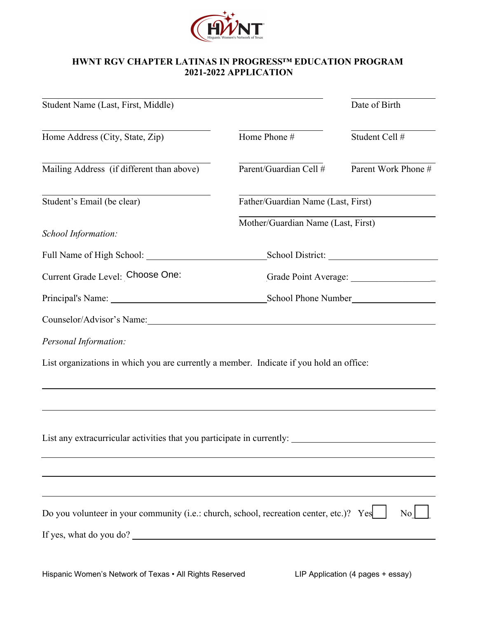

## **HWNT RGV CHAPTER LATINAS IN PROGRESS™ EDUCATION PROGRAM 2021-2022 APPLICATION**

| Student Name (Last, First, Middle)                                                      |                                    | Date of Birth       |
|-----------------------------------------------------------------------------------------|------------------------------------|---------------------|
| Home Address (City, State, Zip)                                                         | Home Phone #                       | Student Cell #      |
| Mailing Address (if different than above)                                               | Parent/Guardian Cell #             | Parent Work Phone # |
| Student's Email (be clear)                                                              | Father/Guardian Name (Last, First) |                     |
| School Information:                                                                     | Mother/Guardian Name (Last, First) |                     |
|                                                                                         |                                    |                     |
| Current Grade Level: Choose One:                                                        |                                    |                     |
|                                                                                         |                                    |                     |
|                                                                                         |                                    |                     |
| Personal Information:                                                                   |                                    |                     |
| List organizations in which you are currently a member. Indicate if you hold an office: |                                    |                     |
| ,我们也不会有什么。""我们的人,我们也不会有什么?""我们的人,我们也不会有什么?""我们的人,我们也不会有什么?""我们的人,我们也不会有什么?""我们的人        |                                    |                     |
|                                                                                         |                                    |                     |
| List any extracurricular activities that you participate in currently:                  |                                    |                     |
|                                                                                         |                                    |                     |
|                                                                                         |                                    |                     |
|                                                                                         |                                    |                     |
| Do you volunteer in your community (i.e.: church, school, recreation center, etc.)? Yes |                                    | No <sub>1</sub>     |
| If yes, what do you do?                                                                 |                                    |                     |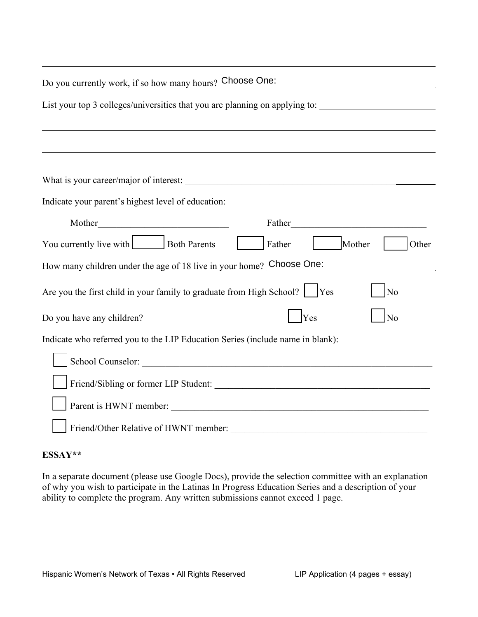| Do you currently work, if so how many hours? Choose One:                                            |  |  |
|-----------------------------------------------------------------------------------------------------|--|--|
| List your top 3 colleges/universities that you are planning on applying to: _______________________ |  |  |
|                                                                                                     |  |  |
|                                                                                                     |  |  |
|                                                                                                     |  |  |
| Indicate your parent's highest level of education:                                                  |  |  |
| Mother<br>Father <b>Example 2</b> Father <b>Example 2</b> Father <b>EXAMPLE 2</b> FACTOR            |  |  |
| You currently live with Both Parents<br>Other<br>Father<br>Mother                                   |  |  |
| How many children under the age of 18 live in your home? Choose One:                                |  |  |
| Are you the first child in your family to graduate from High School? $ $   Yes<br>No                |  |  |
| No<br>Yes<br>Do you have any children?                                                              |  |  |
| Indicate who referred you to the LIP Education Series (include name in blank):                      |  |  |
|                                                                                                     |  |  |
|                                                                                                     |  |  |
|                                                                                                     |  |  |
|                                                                                                     |  |  |

## **ESSAY\*\***

In a separate document (please use Google Docs), provide the selection committee with an explanation of why you wish to participate in the Latinas In Progress Education Series and a description of your ability to complete the program. Any written submissions cannot exceed 1 page.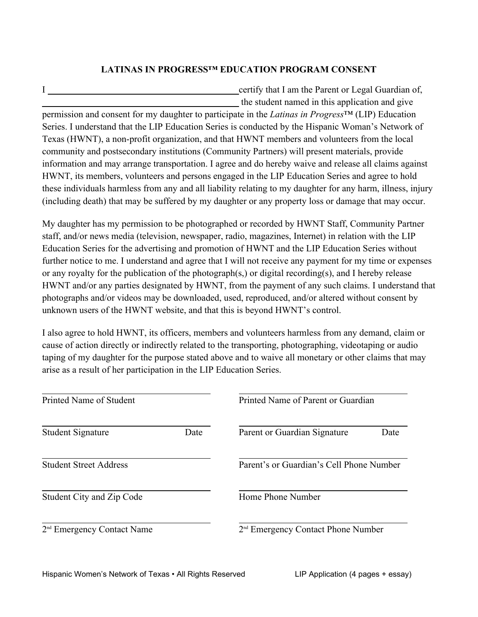## **LATINAS IN PROGRESS™ EDUCATION PROGRAM CONSENT**

I certify that I am the Parent or Legal Guardian of, the student named in this application and give

permission and consent for my daughter to participate in the *Latinas in Progress*™ (LIP) Education Series. I understand that the LIP Education Series is conducted by the Hispanic Woman's Network of Texas (HWNT), a non-profit organization, and that HWNT members and volunteers from the local community and postsecondary institutions (Community Partners) will present materials, provide information and may arrange transportation. I agree and do hereby waive and release all claims against HWNT, its members, volunteers and persons engaged in the LIP Education Series and agree to hold these individuals harmless from any and all liability relating to my daughter for any harm, illness, injury (including death) that may be suffered by my daughter or any property loss or damage that may occur.

My daughter has my permission to be photographed or recorded by HWNT Staff, Community Partner staff, and/or news media (television, newspaper, radio, magazines, Internet) in relation with the LIP Education Series for the advertising and promotion of HWNT and the LIP Education Series without further notice to me. I understand and agree that I will not receive any payment for my time or expenses or any royalty for the publication of the photograph(s,) or digital recording(s), and I hereby release HWNT and/or any parties designated by HWNT, from the payment of any such claims. I understand that photographs and/or videos may be downloaded, used, reproduced, and/or altered without consent by unknown users of the HWNT website, and that this is beyond HWNT's control.

| unknown users of the HWNT website, and that this is beyond HWNT's control. | H W N L and/of any parties designated by H W N L, Hom the payment of any such claims. I understand that<br>photographs and/or videos may be downloaded, used, reproduced, and/or altered without consent by                                                                                                            |  |
|----------------------------------------------------------------------------|------------------------------------------------------------------------------------------------------------------------------------------------------------------------------------------------------------------------------------------------------------------------------------------------------------------------|--|
| arise as a result of her participation in the LIP Education Series.        | I also agree to hold HWNT, its officers, members and volunteers harmless from any demand, claim or<br>cause of action directly or indirectly related to the transporting, photographing, videotaping or audio<br>taping of my daughter for the purpose stated above and to waive all monetary or other claims that may |  |
| Printed Name of Student                                                    | Printed Name of Parent or Guardian                                                                                                                                                                                                                                                                                     |  |
| <b>Student Signature</b><br>Date                                           | Parent or Guardian Signature<br>Date                                                                                                                                                                                                                                                                                   |  |
| <b>Student Street Address</b>                                              | Parent's or Guardian's Cell Phone Number                                                                                                                                                                                                                                                                               |  |
| Student City and Zip Code                                                  | Home Phone Number                                                                                                                                                                                                                                                                                                      |  |
| 2 <sup>nd</sup> Emergency Contact Name                                     | 2 <sup>nd</sup> Emergency Contact Phone Number                                                                                                                                                                                                                                                                         |  |